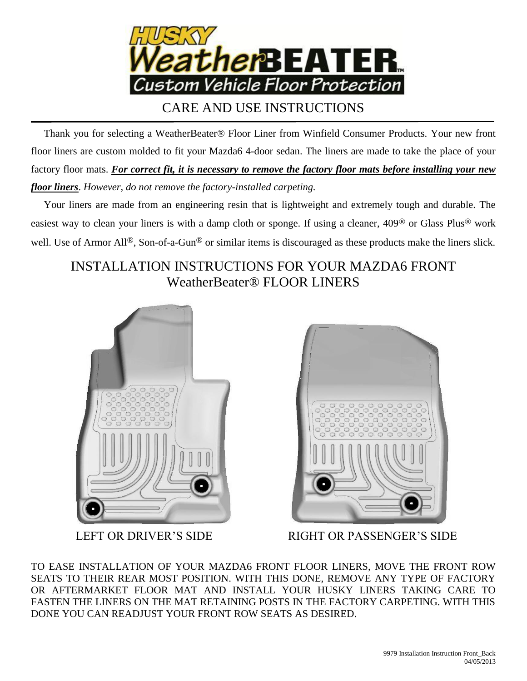

## CARE AND USE INSTRUCTIONS

 Thank you for selecting a WeatherBeater® Floor Liner from Winfield Consumer Products. Your new front floor liners are custom molded to fit your Mazda6 4-door sedan. The liners are made to take the place of your factory floor mats. *For correct fit, it is necessary to remove the factory floor mats before installing your new floor liners*. *However, do not remove the factory-installed carpeting.*

 Your liners are made from an engineering resin that is lightweight and extremely tough and durable. The easiest way to clean your liners is with a damp cloth or sponge. If using a cleaner, 409® or Glass Plus® work well. Use of Armor All<sup>®</sup>, Son-of-a-Gun<sup>®</sup> or similar items is discouraged as these products make the liners slick.

## INSTALLATION INSTRUCTIONS FOR YOUR MAZDA6 FRONT WeatherBeater® FLOOR LINERS





LEFT OR DRIVER'S SIDE RIGHT OR PASSENGER'S SIDE

TO EASE INSTALLATION OF YOUR MAZDA6 FRONT FLOOR LINERS, MOVE THE FRONT ROW SEATS TO THEIR REAR MOST POSITION. WITH THIS DONE, REMOVE ANY TYPE OF FACTORY OR AFTERMARKET FLOOR MAT AND INSTALL YOUR HUSKY LINERS TAKING CARE TO FASTEN THE LINERS ON THE MAT RETAINING POSTS IN THE FACTORY CARPETING. WITH THIS DONE YOU CAN READJUST YOUR FRONT ROW SEATS AS DESIRED.